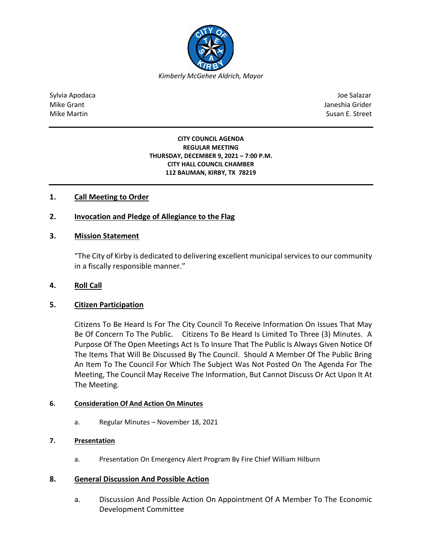

Sylvia Apodaca Joe Salazar Joe Salazar Joe Salazar Joe Salazar Joe Salazar Joe Salazar Joe Salazar Joe Salazar Mike Grant **Janeshia Grider** Mike Grant Janeshia Grider (1999) and the state of the state of the state of the state of the state of the state of the state of the state of the state of the state of the state of the state of Mike Martin Susan E. Street

#### **CITY COUNCIL AGENDA REGULAR MEETING THURSDAY, DECEMBER 9, 2021 – 7:00 P.M. CITY HALL COUNCIL CHAMBER 112 BAUMAN, KIRBY, TX 78219**

# **1. Call Meeting to Order**

## **2. Invocation and Pledge of Allegiance to the Flag**

### **3. Mission Statement**

"The City of Kirby is dedicated to delivering excellent municipal services to our community in a fiscally responsible manner."

### **4. Roll Call**

### **5. Citizen Participation**

Citizens To Be Heard Is For The City Council To Receive Information On Issues That May Be Of Concern To The Public. Citizens To Be Heard Is Limited To Three (3) Minutes. A Purpose Of The Open Meetings Act Is To Insure That The Public Is Always Given Notice Of The Items That Will Be Discussed By The Council. Should A Member Of The Public Bring An Item To The Council For Which The Subject Was Not Posted On The Agenda For The Meeting, The Council May Receive The Information, But Cannot Discuss Or Act Upon It At The Meeting.

### **6. Consideration Of And Action On Minutes**

a. Regular Minutes – November 18, 2021

### **7. Presentation**

a. Presentation On Emergency Alert Program By Fire Chief William Hilburn

### **8. General Discussion And Possible Action**

a. Discussion And Possible Action On Appointment Of A Member To The Economic Development Committee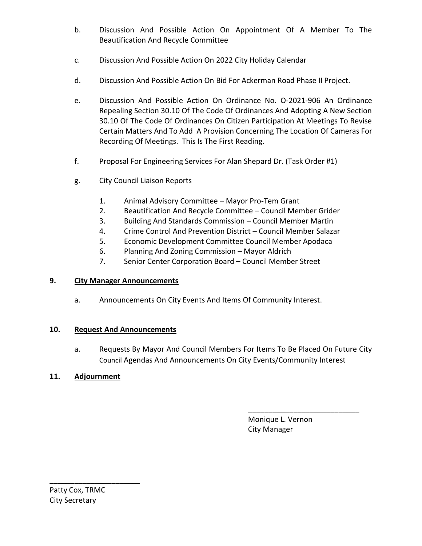- b. Discussion And Possible Action On Appointment Of A Member To The Beautification And Recycle Committee
- c. Discussion And Possible Action On 2022 City Holiday Calendar
- d. Discussion And Possible Action On Bid For Ackerman Road Phase II Project.
- e. Discussion And Possible Action On Ordinance No. O-2021-906 An Ordinance Repealing Section 30.10 Of The Code Of Ordinances And Adopting A New Section 30.10 Of The Code Of Ordinances On Citizen Participation At Meetings To Revise Certain Matters And To Add A Provision Concerning The Location Of Cameras For Recording Of Meetings. This Is The First Reading.
- f. Proposal For Engineering Services For Alan Shepard Dr. (Task Order #1)
- g. City Council Liaison Reports
	- 1. Animal Advisory Committee Mayor Pro-Tem Grant
	- 2. Beautification And Recycle Committee Council Member Grider
	- 3. Building And Standards Commission Council Member Martin
	- 4. Crime Control And Prevention District Council Member Salazar
	- 5. Economic Development Committee Council Member Apodaca
	- 6. Planning And Zoning Commission Mayor Aldrich
	- 7. Senior Center Corporation Board Council Member Street

## **9. City Manager Announcements**

a. Announcements On City Events And Items Of Community Interest.

## **10. Request And Announcements**

a. Requests By Mayor And Council Members For Items To Be Placed On Future City Council Agendas And Announcements On City Events/Community Interest

\_\_\_\_\_\_\_\_\_\_\_\_\_\_\_\_\_\_\_\_\_\_\_\_\_\_\_

## **11. Adjournment**

 Monique L. Vernon City Manager

\_\_\_\_\_\_\_\_\_\_\_\_\_\_\_\_\_\_\_\_\_\_